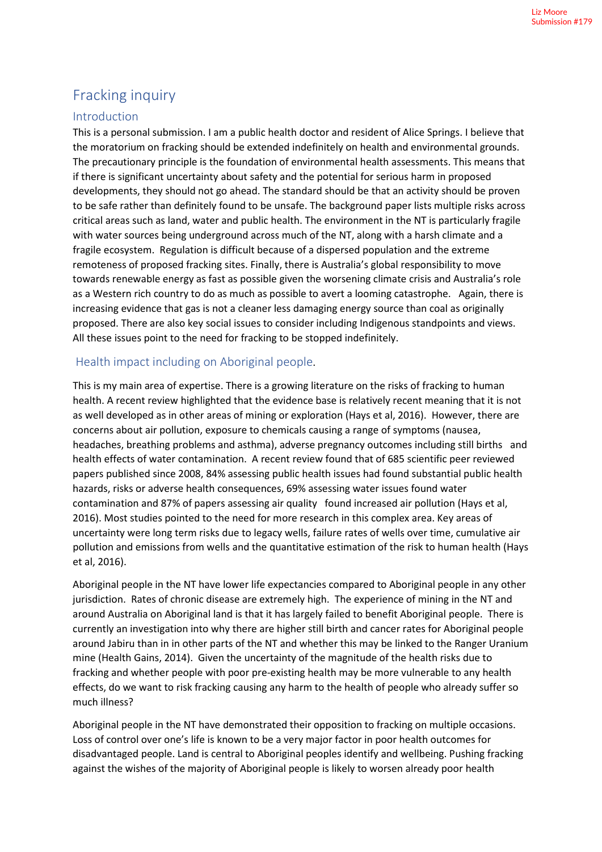# Fracking inquiry

## Introduction

This is a personal submission. I am a public health doctor and resident of Alice Springs. I believe that the moratorium on fracking should be extended indefinitely on health and environmental grounds. The precautionary principle is the foundation of environmental health assessments. This means that if there is significant uncertainty about safety and the potential for serious harm in proposed developments, they should not go ahead. The standard should be that an activity should be proven to be safe rather than definitely found to be unsafe. The background paper lists multiple risks across critical areas such as land, water and public health. The environment in the NT is particularly fragile with water sources being underground across much of the NT, along with a harsh climate and a fragile ecosystem. Regulation is difficult because of a dispersed population and the extreme remoteness of proposed fracking sites. Finally, there is Australia's global responsibility to move towards renewable energy as fast as possible given the worsening climate crisis and Australia's role as a Western rich country to do as much as possible to avert a looming catastrophe. Again, there is increasing evidence that gas is not a cleaner less damaging energy source than coal as originally proposed. There are also key social issues to consider including Indigenous standpoints and views. All these issues point to the need for fracking to be stopped indefinitely.

# Health impact including on Aboriginal people.

This is my main area of expertise. There is a growing literature on the risks of fracking to human health. A recent review highlighted that the evidence base is relatively recent meaning that it is not as well developed as in other areas of mining or exploration (Hays et al, 2016). However, there are concerns about air pollution, exposure to chemicals causing a range of symptoms (nausea, headaches, breathing problems and asthma), adverse pregnancy outcomes including still births and health effects of water contamination. A recent review found that of 685 scientific peer reviewed papers published since 2008, 84% assessing public health issues had found substantial public health hazards, risks or adverse health consequences, 69% assessing water issues found water contamination and 87% of papers assessing air quality found increased air pollution (Hays et al, 2016). Most studies pointed to the need for more research in this complex area. Key areas of uncertainty were long term risks due to legacy wells, failure rates of wells over time, cumulative air pollution and emissions from wells and the quantitative estimation of the risk to human health (Hays et al, 2016).

Aboriginal people in the NT have lower life expectancies compared to Aboriginal people in any other jurisdiction. Rates of chronic disease are extremely high. The experience of mining in the NT and around Australia on Aboriginal land is that it has largely failed to benefit Aboriginal people. There is currently an investigation into why there are higher still birth and cancer rates for Aboriginal people around Jabiru than in in other parts of the NT and whether this may be linked to the Ranger Uranium mine (Health Gains, 2014). Given the uncertainty of the magnitude of the health risks due to fracking and whether people with poor pre-existing health may be more vulnerable to any health effects, do we want to risk fracking causing any harm to the health of people who already suffer so much illness?

Aboriginal people in the NT have demonstrated their opposition to fracking on multiple occasions. Loss of control over one's life is known to be a very major factor in poor health outcomes for disadvantaged people. Land is central to Aboriginal peoples identify and wellbeing. Pushing fracking against the wishes of the majority of Aboriginal people is likely to worsen already poor health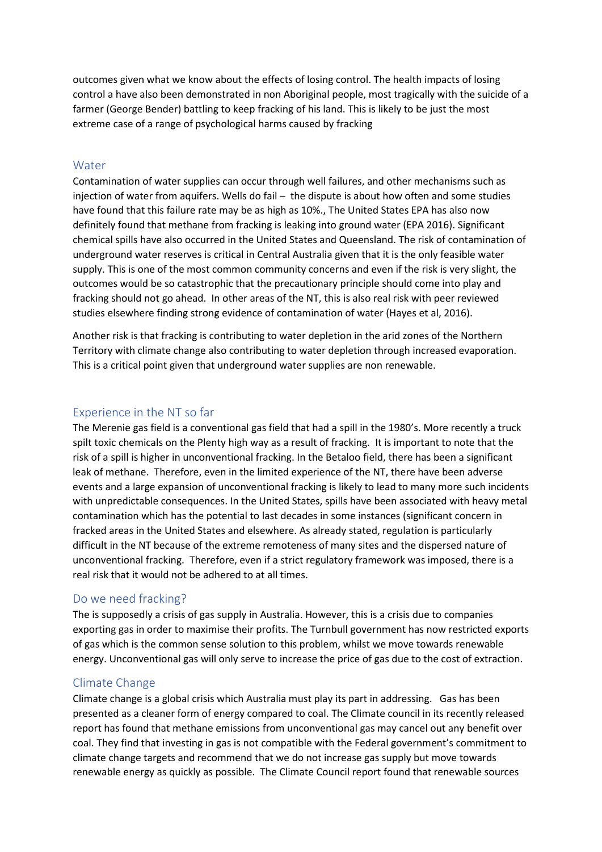outcomes given what we know about the effects of losing control. The health impacts of losing control a have also been demonstrated in non Aboriginal people, most tragically with the suicide of a farmer (George Bender) battling to keep fracking of his land. This is likely to be just the most extreme case of a range of psychological harms caused by fracking

#### **Water**

Contamination of water supplies can occur through well failures, and other mechanisms such as injection of water from aquifers. Wells do fail – the dispute is about how often and some studies have found that this failure rate may be as high as 10%., The United States EPA has also now definitely found that methane from fracking is leaking into ground water (EPA 2016). Significant chemical spills have also occurred in the United States and Queensland. The risk of contamination of underground water reserves is critical in Central Australia given that it is the only feasible water supply. This is one of the most common community concerns and even if the risk is very slight, the outcomes would be so catastrophic that the precautionary principle should come into play and fracking should not go ahead. In other areas of the NT, this is also real risk with peer reviewed studies elsewhere finding strong evidence of contamination of water (Hayes et al, 2016).

Another risk is that fracking is contributing to water depletion in the arid zones of the Northern Territory with climate change also contributing to water depletion through increased evaporation. This is a critical point given that underground water supplies are non renewable.

#### Experience in the NT so far

The Merenie gas field is a conventional gas field that had a spill in the 1980's. More recently a truck spilt toxic chemicals on the Plenty high way as a result of fracking. It is important to note that the risk of a spill is higher in unconventional fracking. In the Betaloo field, there has been a significant leak of methane. Therefore, even in the limited experience of the NT, there have been adverse events and a large expansion of unconventional fracking is likely to lead to many more such incidents with unpredictable consequences. In the United States, spills have been associated with heavy metal contamination which has the potential to last decades in some instances (significant concern in fracked areas in the United States and elsewhere. As already stated, regulation is particularly difficult in the NT because of the extreme remoteness of many sites and the dispersed nature of unconventional fracking. Therefore, even if a strict regulatory framework was imposed, there is a real risk that it would not be adhered to at all times.

## Do we need fracking?

The is supposedly a crisis of gas supply in Australia. However, this is a crisis due to companies exporting gas in order to maximise their profits. The Turnbull government has now restricted exports of gas which is the common sense solution to this problem, whilst we move towards renewable energy. Unconventional gas will only serve to increase the price of gas due to the cost of extraction.

## Climate Change

Climate change is a global crisis which Australia must play its part in addressing. Gas has been presented as a cleaner form of energy compared to coal. The Climate council in its recently released report has found that methane emissions from unconventional gas may cancel out any benefit over coal. They find that investing in gas is not compatible with the Federal government's commitment to climate change targets and recommend that we do not increase gas supply but move towards renewable energy as quickly as possible. The Climate Council report found that renewable sources